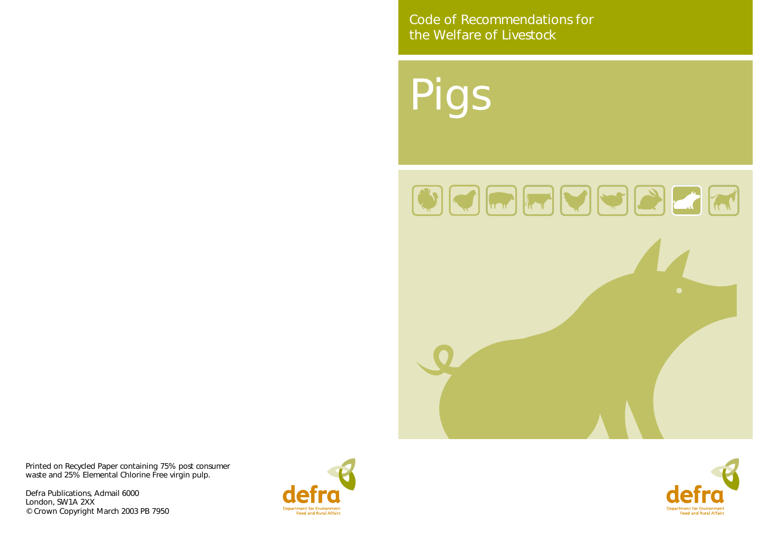Pigs



Code of Recommendations for the Welfare of Livestock

Printed on Recycled Paper containing 75% post consumer waste and 25% Elemental Chlorine Free virgin pulp.

Defra Publications, Admail 6000 London, SW1A 2XX © Crown Copyright March 2003 PB 7950





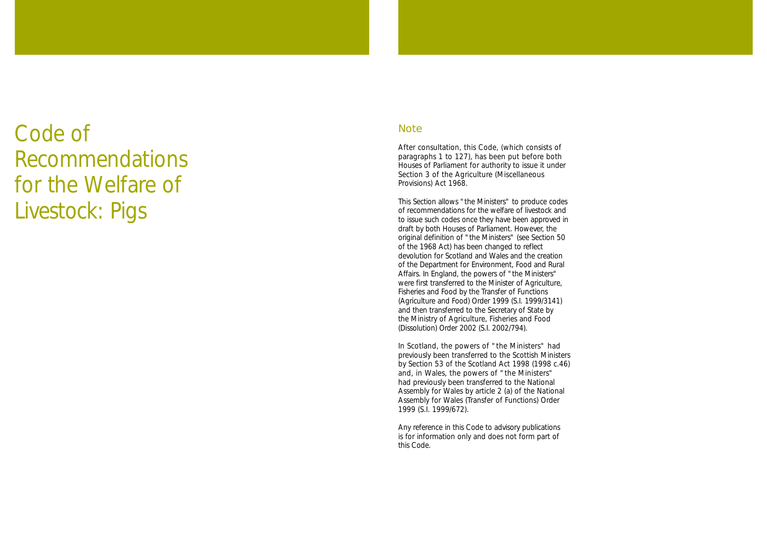# Code of Recommendations for the Welfare of Livestock: Pigs

#### **Note**

After consultation, this Code, (which consists of paragraphs 1 to 127), has been put before both Houses of Parliament for authority to issue it under Section 3 of the Agriculture (Miscellaneous Provisions) Act 1968.

This Section allows "the Ministers" to produce codes of recommendations for the welfare of livestock and to issue such codes once they have been approved in draft by both Houses of Parliament. However, the original definition of "the Ministers" (see Section 50 of the 1968 Act) has been changed to reflect devolution for Scotland and Wales and the creation of the Department for Environment, Food and Rural Affairs. In England, the powers of "the Ministers" were first transferred to the Minister of Agriculture, Fisheries and Food by the Transfer of Functions (Agriculture and Food) Order 1999 (S.I. 1999/3141) and then transferred to the Secretary of State by the Ministry of Agriculture, Fisheries and Food (Dissolution) Order 2002 (S.I. 2002/794).

In Scotland, the powers of "the Ministers" had previously been transferred to the Scottish Ministers by Section 53 of the Scotland Act 1998 (1998 c.46) and, in Wales, the powers of "the Ministers" had previously been transferred to the National Assembly for Wales by article 2 (a) of the National Assembly for Wales (Transfer of Functions) Order 1999 (S.I. 1999/672).

Any reference in this Code to advisory publications is for information only and does not form part of this Code.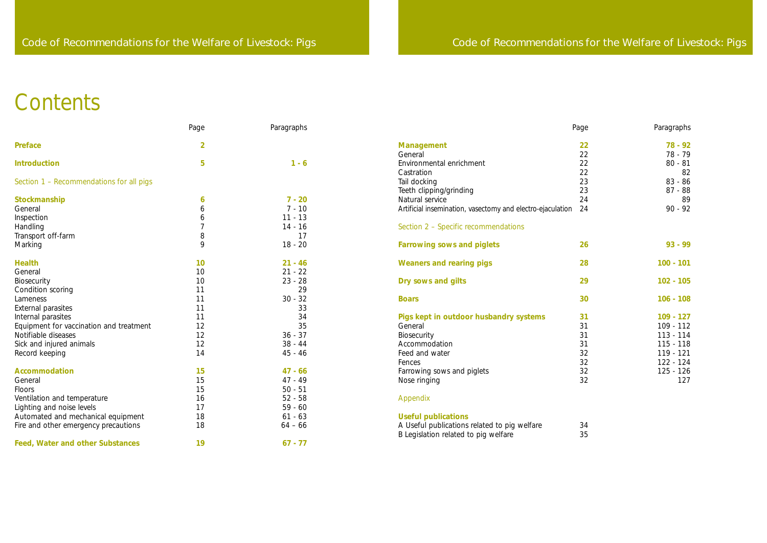# **Contents**

|                                          | Page           | Paragraphs |                                                                                      | Page     | Paragraphs  |
|------------------------------------------|----------------|------------|--------------------------------------------------------------------------------------|----------|-------------|
| <b>Preface</b>                           | $\overline{2}$ |            | <b>Management</b>                                                                    | 22       | 78 - 92     |
|                                          |                |            | General                                                                              | 22       | 78 - 79     |
| <b>Introduction</b>                      | 5              | $1 - 6$    | Environmental enrichment                                                             | 22       | $80 - 81$   |
|                                          |                |            | Castration                                                                           | 22       | 82          |
| Section 1 - Recommendations for all pigs |                |            | Tail docking                                                                         | 23       | 83 - 86     |
|                                          |                |            | Teeth clipping/grinding                                                              | 23       | 87 - 88     |
| Stockmanship                             | 6              | $7 - 20$   | Natural service                                                                      | 24       | 89          |
| General                                  | 6              | $7 - 10$   | Artificial insemination, vasectomy and electro-ejaculation                           | 24       | $90 - 92$   |
| Inspection                               | 6              | $11 - 13$  |                                                                                      |          |             |
| Handling                                 |                | $14 - 16$  | Section 2 - Specific recommendations                                                 |          |             |
| Transport off-farm                       | 8              | 17         |                                                                                      |          |             |
| Marking                                  | 9              | $18 - 20$  | <b>Farrowing sows and piglets</b>                                                    | 26       | 93 - 99     |
| <b>Health</b>                            | 10             | $21 - 46$  | <b>Weaners and rearing pigs</b>                                                      | 28       | $100 - 101$ |
| General                                  | 10             | $21 - 22$  |                                                                                      |          |             |
| Biosecurity                              | 10             | $23 - 28$  | Dry sows and gilts                                                                   | 29       | $102 - 105$ |
| Condition scoring                        | 11             | 29         |                                                                                      |          |             |
| Lameness                                 | 11             | $30 - 32$  | <b>Boars</b>                                                                         | 30       | $106 - 108$ |
| External parasites                       | 11             | 33         |                                                                                      |          |             |
| Internal parasites                       | 11             | 34         | Pigs kept in outdoor husbandry systems                                               | 31       | $109 - 127$ |
| Equipment for vaccination and treatment  | 12             | 35         | General                                                                              | 31       | $109 - 112$ |
| Notifiable diseases                      | 12             | $36 - 37$  | Biosecurity                                                                          | 31       | $113 - 114$ |
| Sick and injured animals                 | 12             | $38 - 44$  | Accommodation                                                                        | 31       | $115 - 118$ |
| Record keeping                           | 14             | $45 - 46$  | Feed and water                                                                       | 32       | $119 - 121$ |
|                                          |                |            | Fences                                                                               | 32       | $122 - 124$ |
| <b>Accommodation</b>                     | 15             | $47 - 66$  | Farrowing sows and piglets                                                           | 32       | 125 - 126   |
| General                                  | 15             | 47 - 49    | Nose ringing                                                                         | 32       | 127         |
| Floors                                   | 15             | $50 - 51$  |                                                                                      |          |             |
| Ventilation and temperature              | 16             | $52 - 58$  | Appendix                                                                             |          |             |
| Lighting and noise levels                | 17             | $59 - 60$  |                                                                                      |          |             |
| Automated and mechanical equipment       | 18             | $61 - 63$  | <b>Useful publications</b>                                                           |          |             |
| Fire and other emergency precautions     | 18             | $64 - 66$  | A Useful publications related to pig welfare<br>B Legislation related to pig welfare | 34<br>35 |             |
| <b>Feed, Water and other Substances</b>  | 19             | $67 - 77$  |                                                                                      |          |             |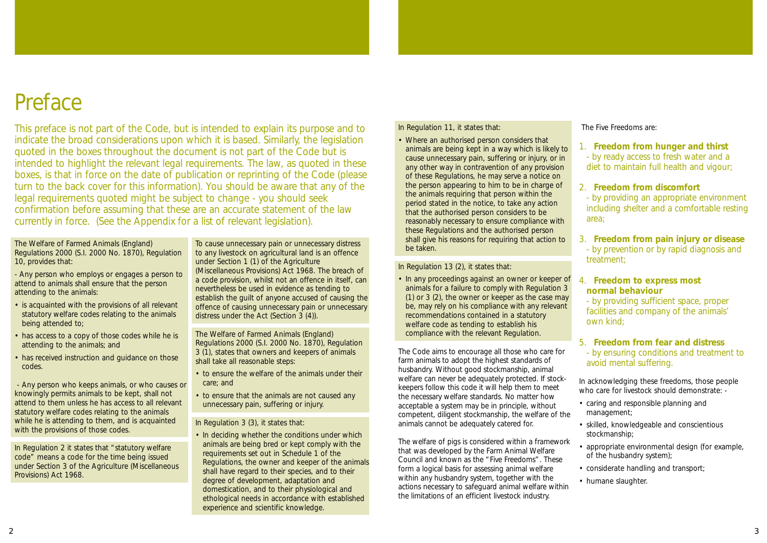## Preface

This preface is not part of the Code, but is intended to explain its purpose and to indicate the broad considerations upon which it is based. Similarly, the legislation quoted in the boxes throughout the document is not part of the Code but is intended to highlight the relevant legal requirements. The law, as quoted in these boxes, is that in force on the date of publication or reprinting of the Code (please turn to the back cover for this information). You should be aware that any of the legal requirements quoted might be subject to change - you should seek confirmation before assuming that these are an accurate statement of the law currently in force. (See the Appendix for a list of relevant legislation).

In Regulation 11, it states that:

• Where an authorised person considers that animals are being kept in a way which is likely to cause unnecessary pain, suffering or injury, or in any other way in contravention of any provision of these Regulations, he may serve a notice on the person appearing to him to be in charge of the animals requiring that person within the period stated in the notice, to take any action that the authorised person considers to be reasonably necessary to ensure compliance with these Regulations and the authorised person shall give his reasons for requiring that action to be taken.

In Regulation 13 (2), it states that:

• In any proceedings against an owner or keeper of animals for a failure to comply with Regulation 3 (1) or 3 (2), the owner or keeper as the case may be, may rely on his compliance with any relevant recommendations contained in a statutory welfare code as tending to establish his compliance with the relevant Regulation.

The welfare of pigs is considered within a framework that was developed by the Farm Animal Welfare Council and known as the "Five Freedoms". These form a logical basis for assessing animal welfare within any husbandry system, together with the actions necessary to safeguard animal welfare within the limitations of an efficient livestock industry.

The Code aims to encourage all those who care for farm animals to adopt the highest standards of husbandry. Without good stockmanship, animal welfare can never be adequately protected. If stockkeepers follow this code it will help them to meet the necessary welfare standards. No matter how acceptable a system may be in principle, without competent, diligent stockmanship, the welfare of the animals cannot be adequately catered for. avoid mental suffering. In acknowledging these freedoms, those people who care for livestock should demonstrate: -• caring and responsible planning and management;

The Five Freedoms are:

1. **Freedom from hunger and thirst**  - by ready access to fresh water and a diet to maintain full health and vigour;

#### 2. **Freedom from discomfort**

- by providing an appropriate environment including shelter and a comfortable resting area;

3. **Freedom from pain injury or disease** - by prevention or by rapid diagnosis and treatment;

#### 4. **Freedom to express most normal behaviour**

- by providing sufficient space, proper facilities and company of the animals' own kind;

#### 5. **Freedom from fear and distress**

- by ensuring conditions and treatment to

- 
- skilled, knowledgeable and conscientious stockmanship;
- appropriate environmental design (for example, of the husbandry system);
- considerate handling and transport;
- humane slaughter.

#### The Welfare of Farmed Animals (England) Regulations 2000 (S.I. 2000 No. 1870), Regulation 10, provides that:

- Any person who employs or engages a person to attend to animals shall ensure that the person attending to the animals:

- is acquainted with the provisions of all relevant statutory welfare codes relating to the animals being attended to;
- has access to a copy of those codes while he is attending to the animals; and
- has received instruction and guidance on those codes.

- Any person who keeps animals, or who causes or knowingly permits animals to be kept, shall not attend to them unless he has access to all relevant statutory welfare codes relating to the animals while he is attending to them, and is acquainted with the provisions of those codes.

In Regulation 2 it states that "statutory welfare code" means a code for the time being issued under Section 3 of the Agriculture (Miscellaneous Provisions) Act 1968.

To cause unnecessary pain or unnecessary distress to any livestock on agricultural land is an offence under Section 1 (1) of the Agriculture (Miscellaneous Provisions) Act 1968. The breach of a code provision, whilst not an offence in itself, can nevertheless be used in evidence as tending to establish the guilt of anyone accused of causing the offence of causing unnecessary pain or unnecessary distress under the Act (Section 3 (4)).

The Welfare of Farmed Animals (England) Regulations 2000 (S.I. 2000 No. 1870), Regulation 3 (1), states that owners and keepers of animals shall take all reasonable steps:

- to ensure the welfare of the animals under their care; and
- to ensure that the animals are not caused any unnecessary pain, suffering or injury.

In Regulation 3 (3), it states that:

• In deciding whether the conditions under which animals are being bred or kept comply with the requirements set out in Schedule 1 of the Regulations, the owner and keeper of the animals shall have regard to their species, and to their degree of development, adaptation and domestication, and to their physiological and ethological needs in accordance with established experience and scientific knowledge.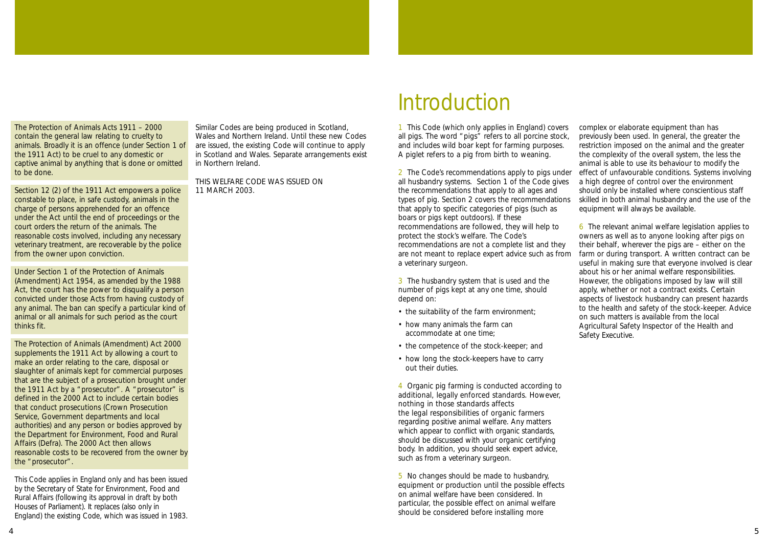1 This Code (which only applies in England) covers all pigs. The word "pigs" refers to all porcine stock, and includes wild boar kept for farming purposes. A piglet refers to a pig from birth to weaning.

2 The Code's recommendations apply to pigs under all husbandry systems. Section 1 of the Code gives the recommendations that apply to all ages and types of pig. Section 2 covers the recommendations that apply to specific categories of pigs (such as boars or pigs kept outdoors). If these recommendations are followed, they will help to protect the stock's welfare. The Code's recommendations are not a complete list and they are not meant to replace expert advice such as from a veterinary surgeon.

3 The husbandry system that is used and the number of pigs kept at any one time, should depend on:

- the suitability of the farm environment;
- how many animals the farm can accommodate at one time;
- the competence of the stock-keeper; and
- how long the stock-keepers have to carry out their duties.

4 Organic pig farming is conducted according to additional, legally enforced standards. However, nothing in those standards affects the legal responsibilities of organic farmers regarding positive animal welfare. Any matters which appear to conflict with organic standards, should be discussed with your organic certifying body. In addition, you should seek expert advice, such as from a veterinary surgeon.

5 No changes should be made to husbandry, equipment or production until the possible effects on animal welfare have been considered. In particular, the possible effect on animal welfare should be considered before installing more

complex or elaborate equipment than has previously been used. In general, the greater the restriction imposed on the animal and the greater the complexity of the overall system, the less the animal is able to use its behaviour to modify the effect of unfavourable conditions. Systems involving a high degree of control over the environment should only be installed where conscientious staff skilled in both animal husbandry and the use of the equipment will always be available.

6 The relevant animal welfare legislation applies to owners as well as to anyone looking after pigs on their behalf, wherever the pigs are – either on the farm or during transport. A written contract can be useful in making sure that everyone involved is clear about his or her animal welfare responsibilities. However, the obligations imposed by law will still apply, whether or not a contract exists. Certain aspects of livestock husbandry can present hazards to the health and safety of the stock-keeper. Advice on such matters is available from the local Agricultural Safety Inspector of the Health and Safety Executive.

The Protection of Animals Acts 1911 – 2000 contain the general law relating to cruelty to animals. Broadly it is an offence (under Section 1 of the 1911 Act) to be cruel to any domestic or captive animal by anything that is done or omitted to be done.

Section 12 (2) of the 1911 Act empowers a police constable to place, in safe custody, animals in the charge of persons apprehended for an offence under the Act until the end of proceedings or the court orders the return of the animals. The reasonable costs involved, including any necessary veterinary treatment, are recoverable by the police from the owner upon conviction.

Under Section 1 of the Protection of Animals (Amendment) Act 1954, as amended by the 1988 Act, the court has the power to disqualify a person convicted under those Acts from having custody of any animal. The ban can specify a particular kind of animal or all animals for such period as the court thinks fit.

The Protection of Animals (Amendment) Act 2000 supplements the 1911 Act by allowing a court to make an order relating to the care, disposal or slaughter of animals kept for commercial purposes that are the subject of a prosecution brought under the 1911 Act by a "prosecutor". A "prosecutor" is defined in the 2000 Act to include certain bodies that conduct prosecutions (Crown Prosecution Service, Government departments and local authorities) and any person or bodies approved by the Department for Environment, Food and Rural Affairs (Defra). The 2000 Act then allows reasonable costs to be recovered from the owner by the "prosecutor".

This Code applies in England only and has been issued by the Secretary of State for Environment, Food and Rural Affairs (following its approval in draft by both Houses of Parliament). It replaces (also only in England) the existing Code, which was issued in 1983.

Similar Codes are being produced in Scotland, Wales and Northern Ireland. Until these new Codes are issued, the existing Code will continue to apply in Scotland and Wales. Separate arrangements exist in Northern Ireland.

THIS WELFARE CODE WAS ISSUED ON 11 MARCH 2003.

# **Introduction**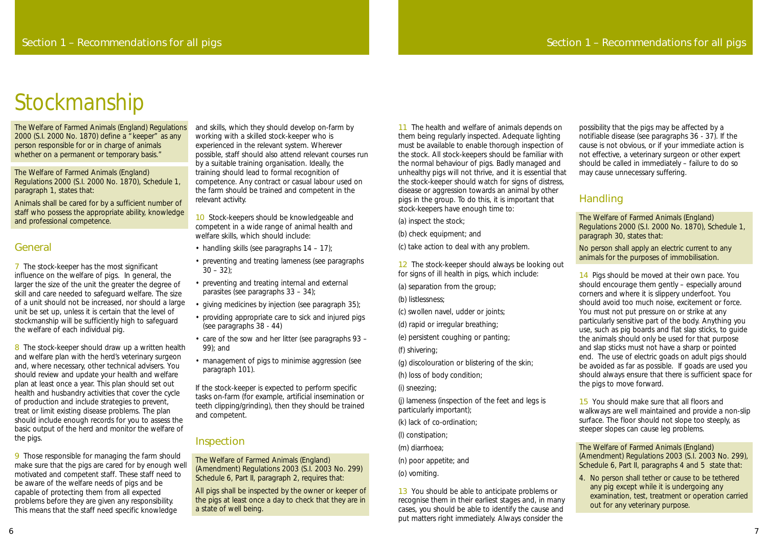11 The health and welfare of animals depends on them being regularly inspected. Adequate lighting must be available to enable thorough inspection of the stock. All stock-keepers should be familiar with the normal behaviour of pigs. Badly managed and unhealthy pigs will not thrive, and it is essential that the stock-keeper should watch for signs of distress, disease or aggression towards an animal by other pigs in the group. To do this, it is important that stock-keepers have enough time to:

12 The stock-keeper should always be looking out for signs of ill health in pigs, which include:

(a) inspect the stock;

- (b) check equipment; and
- (c) take action to deal with any problem.

13 You should be able to anticipate problems or recognise them in their earliest stages and, in many cases, you should be able to identify the cause and put matters right immediately. Always consider the

(a) separation from the group;

(b) listlessness;

(c) swollen navel, udder or joints;

(d) rapid or irregular breathing;

(e) persistent coughing or panting;

(f) shivering;

(g) discolouration or blistering of the skin;

(h) loss of body condition;

(i) sneezing;

(j) lameness (inspection of the feet and legs is particularly important);

(k) lack of co-ordination;

(l) constipation;

(m) diarrhoea;

(n) poor appetite; and

(o) vomiting.

14 Pigs should be moved at their own pace. You should encourage them gently – especially around corners and where it is slippery underfoot. You should avoid too much noise, excitement or force. You must not put pressure on or strike at any particularly sensitive part of the body. Anything you use, such as pig boards and flat slap sticks, to guide the animals should only be used for that purpose and slap sticks must not have a sharp or pointed end. The use of electric goads on adult pigs should be avoided as far as possible. If goads are used you should always ensure that there is sufficient space for the pigs to move forward.

15 You should make sure that all floors and walkways are well maintained and provide a non-slip surface. The floor should not slope too steeply, as steeper slopes can cause leg problems.

possibility that the pigs may be affected by a notifiable disease (see paragraphs 36 - 37). If the cause is not obvious, or if your immediate action is not effective, a veterinary surgeon or other expert should be called in immediately – failure to do so may cause unnecessary suffering.

The Welfare of Farmed Animals (England) Regulations 2000 (S.I. 2000 No. 1870) define a "keeper" as any person responsible for or in charge of animals whether on a permanent or temporary basis."

### Handling

The Welfare of Farmed Animals (England) Regulations 2000 (S.I. 2000 No. 1870), Schedule 1, paragraph 30, states that:

No person shall apply an electric current to any animals for the purposes of immobilisation.

7 The stock-keeper has the most significant influence on the welfare of pigs. In general, the larger the size of the unit the greater the degree of skill and care needed to safeguard welfare. The size of a unit should not be increased, nor should a large unit be set up, unless it is certain that the level of stockmanship will be sufficiently high to safeguard the welfare of each individual pig.

8 The stock-keeper should draw up a written health and welfare plan with the herd's veterinary surgeon and, where necessary, other technical advisers. You should review and update your health and welfare plan at least once a year. This plan should set out health and husbandry activities that cover the cycle of production and include strategies to prevent, treat or limit existing disease problems. The plan should include enough records for you to assess the basic output of the herd and monitor the welfare of the pigs.

10 Stock-keepers should be knowledgeable and competent in a wide range of animal health and welfare skills, which should include:

> The Welfare of Farmed Animals (England) (Amendment) Regulations 2003 (S.I. 2003 No. 299), Schedule 6, Part II, paragraphs 4 and 5 state that:

- handling skills (see paragraphs  $14 17$ );
- preventing and treating lameness (see paragraphs  $30 - 32$ );
- preventing and treating internal and external parasites (see paragraphs 33 – 34);
- giving medicines by injection (see paragraph 35);
- providing appropriate care to sick and injured pigs (see paragraphs 38 - 44)
- care of the sow and her litter (see paragraphs 93 99); and
- management of pigs to minimise aggression (see paragraph 101).

4. No person shall tether or cause to be tethered any pig except while it is undergoing any examination, test, treatment or operation carried out for any veterinary purpose.

The Welfare of Farmed Animals (England) Regulations 2000 (S.I. 2000 No. 1870), Schedule 1, paragraph 1, states that:

Animals shall be cared for by a sufficient number of staff who possess the appropriate ability, knowledge and professional competence.

#### General

9 Those responsible for managing the farm should make sure that the pigs are cared for by enough well motivated and competent staff. These staff need to be aware of the welfare needs of pigs and be capable of protecting them from all expected problems before they are given any responsibility. This means that the staff need specific knowledge

and skills, which they should develop on-farm by working with a skilled stock-keeper who is experienced in the relevant system. Wherever possible, staff should also attend relevant courses run by a suitable training organisation. Ideally, the training should lead to formal recognition of competence. Any contract or casual labour used on the farm should be trained and competent in the relevant activity.

If the stock-keeper is expected to perform specific tasks on-farm (for example, artificial insemination or teeth clipping/grinding), then they should be trained and competent.

#### Inspection

The Welfare of Farmed Animals (England) (Amendment) Regulations 2003 (S.I. 2003 No. 299) Schedule 6, Part II, paragraph 2, requires that:

All pigs shall be inspected by the owner or keeper of the pigs at least once a day to check that they are in a state of well being.

# Stockmanship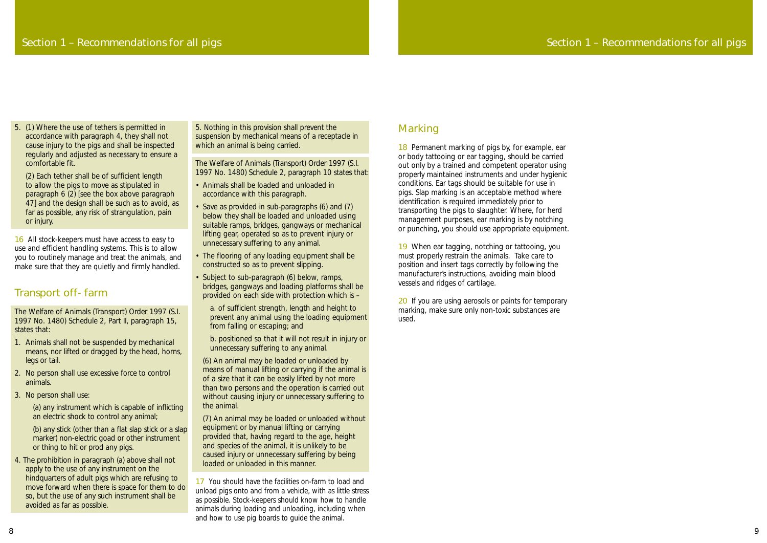18 Permanent marking of pigs by, for example, ear or body tattooing or ear tagging, should be carried out only by a trained and competent operator using properly maintained instruments and under hygienic conditions. Ear tags should be suitable for use in pigs. Slap marking is an acceptable method where identification is required immediately prior to transporting the pigs to slaughter. Where, for herd management purposes, ear marking is by notching or punching, you should use appropriate equipment.

20 If you are using aerosols or paints for temporary marking, make sure only non-toxic substances are used.

19 When ear tagging, notching or tattooing, you must properly restrain the animals. Take care to position and insert tags correctly by following the manufacturer's instructions, avoiding main blood vessels and ridges of cartilage.

16 All stock-keepers must have access to easy to use and efficient handling systems. This is to allow you to routinely manage and treat the animals, and make sure that they are quietly and firmly handled.

### Section 1 – Recommendations for all pigs

5. (1) Where the use of tethers is permitted in accordance with paragraph 4, they shall not cause injury to the pigs and shall be inspected regularly and adjusted as necessary to ensure a comfortable fit.

(2) Each tether shall be of sufficient length to allow the pigs to move as stipulated in paragraph 6 (2) *[see the box above paragraph 47]* and the design shall be such as to avoid, as far as possible, any risk of strangulation, pain or injury.

### Transport off- farm

The Welfare of Animals (Transport) Order 1997 (S.I. 1997 No. 1480) Schedule 2, Part II, paragraph 15, states that:

- 1. Animals shall not be suspended by mechanical means, nor lifted or dragged by the head, horns, legs or tail.
- 2. No person shall use excessive force to control animals.
- 3. No person shall use:

(a) any instrument which is capable of inflicting an electric shock to control any animal;

(b) any stick (other than a flat slap stick or a slap marker) non-electric goad or other instrument or thing to hit or prod any pigs.

4. The prohibition in paragraph (a) above shall not apply to the use of any instrument on the hindquarters of adult pigs which are refusing to move forward when there is space for them to do so, but the use of any such instrument shall be avoided as far as possible.

5. Nothing in this provision shall prevent the suspension by mechanical means of a receptacle in which an animal is being carried.

The Welfare of Animals (Transport) Order 1997 (S.I. 1997 No. 1480) Schedule 2, paragraph 10 states that:

- Animals shall be loaded and unloaded in accordance with this paragraph.
- Save as provided in sub-paragraphs (6) and (7) below they shall be loaded and unloaded using suitable ramps, bridges, gangways or mechanical lifting gear, operated so as to prevent injury or unnecessary suffering to any animal.
- The flooring of any loading equipment shall be constructed so as to prevent slipping.
- Subject to sub-paragraph (6) below, ramps, bridges, gangways and loading platforms shall be provided on each side with protection which is –

a. of sufficient strength, length and height to prevent any animal using the loading equipment from falling or escaping; and

b. positioned so that it will not result in injury or unnecessary suffering to any animal.

(6) An animal may be loaded or unloaded by means of manual lifting or carrying if the animal is of a size that it can be easily lifted by not more than two persons and the operation is carried out without causing injury or unnecessary suffering to the animal.

(7) An animal may be loaded or unloaded without equipment or by manual lifting or carrying provided that, having regard to the age, height and species of the animal, it is unlikely to be caused injury or unnecessary suffering by being loaded or unloaded in this manner.

17 You should have the facilities on-farm to load and unload pigs onto and from a vehicle, with as little stress as possible. Stock-keepers should know how to handle animals during loading and unloading, including when and how to use pig boards to guide the animal.

### **Marking**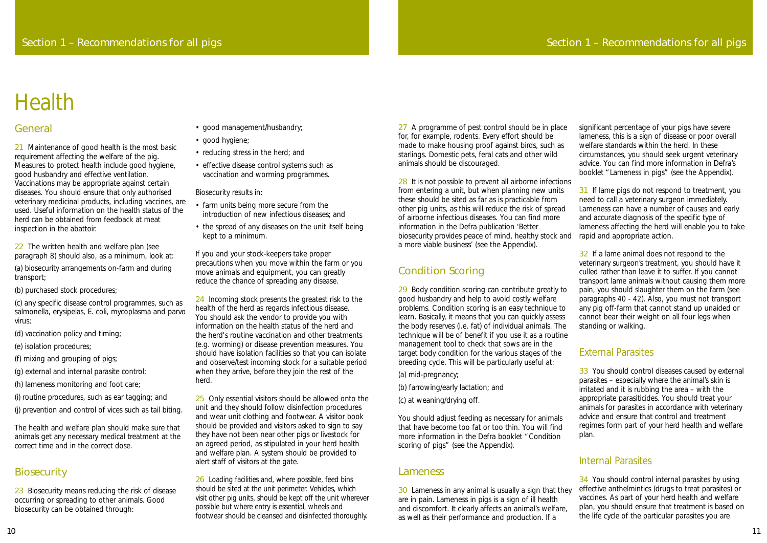27 A programme of pest control should be in place for, for example, rodents. Every effort should be made to make housing proof against birds, such as starlings. Domestic pets, feral cats and other wild animals should be discouraged.

29 Body condition scoring can contribute greatly to good husbandry and help to avoid costly welfare problems. Condition scoring is an easy technique to learn. Basically, it means that you can quickly assess the body reserves (i.e. fat) of individual animals. The technique will be of benefit if you use it as a routine management tool to check that sows are in the target body condition for the various stages of the breeding cycle. This will be particularly useful at:

### Condition Scoring

28 It is not possible to prevent all airborne infections from entering a unit, but when planning new units these should be sited as far as is practicable from other pig units, as this will reduce the risk of spread of airborne infectious diseases. You can find more information in the Defra publication 'Better biosecurity provides peace of mind, healthy stock and a more viable business' (see the Appendix). 31 If lame pigs do not respond to treatment, you need to call a veterinary surgeon immediately. Lameness can have a number of causes and early and accurate diagnosis of the specific type of lameness affecting the herd will enable you to take rapid and appropriate action.

(a) mid-pregnancy;

- (b) farrowing/early lactation; and
- (c) at weaning/drying off.

32 If a lame animal does not respond to the veterinary surgeon's treatment, you should have it culled rather than leave it to suffer. If you cannot transport lame animals without causing them more pain, you should slaughter them on the farm (see paragraphs 40 - 42). Also, you must not transport any pig off-farm that cannot stand up unaided or cannot bear their weight on all four legs when standing or walking.

You should adjust feeding as necessary for animals that have become too fat or too thin. You will find more information in the Defra booklet "Condition scoring of pigs" (see the Appendix).

### Lameness

33 You should control diseases caused by external parasites – especially where the animal's skin is irritated and it is rubbing the area – with the appropriate parasiticides. You should treat your animals for parasites in accordance with veterinary advice and ensure that control and treatment regimes form part of your herd health and welfare plan.

significant percentage of your pigs have severe lameness, this is a sign of disease or poor overall welfare standards within the herd. In these circumstances, you should seek urgent veterinary advice. You can find more information in Defra's booklet "Lameness in pigs" (see the Appendix).

21 Maintenance of good health is the most basic requirement affecting the welfare of the pig. Measures to protect health include good hygiene, good husbandry and effective ventilation. Vaccinations may be appropriate against certain diseases. You should ensure that only authorised veterinary medicinal products, including vaccines, are used. Useful information on the health status of the herd can be obtained from feedback at meat inspection in the abattoir.

22 The written health and welfare plan (see paragraph 8) should also, as a minimum, look at:

23 Biosecurity means reducing the risk of disease occurring or spreading to other animals. Good biosecurity can be obtained through:

30 Lameness in any animal is usually a sign that they are in pain. Lameness in pigs is a sign of ill health and discomfort. It clearly affects an animal's welfare, as well as their performance and production. If a 34 You should control internal parasites by using effective anthelmintics (drugs to treat parasites) or vaccines. As part of your herd health and welfare plan, you should ensure that treatment is based on the life cycle of the particular parasites you are

### External Parasites

24 Incoming stock presents the greatest risk to the health of the herd as regards infectious disease. You should ask the vendor to provide you with information on the health status of the herd and the herd's routine vaccination and other treatments (e.g. worming) or disease prevention measures. You should have isolation facilities so that you can isolate and observe/test incoming stock for a suitable period when they arrive, before they join the rest of the herd.

### Internal Parasites

25 Only essential visitors should be allowed onto the unit and they should follow disinfection procedures and wear unit clothing and footwear. A visitor book should be provided and visitors asked to sign to say they have not been near other pigs or livestock for an agreed period, as stipulated in your herd health and welfare plan. A system should be provided to alert staff of visitors at the gate.

26 Loading facilities and, where possible, feed bins should be sited at the unit perimeter. Vehicles, which visit other pig units, should be kept off the unit wherever possible but where entry is essential, wheels and footwear should be cleansed and disinfected thoroughly.

### General

(a) biosecurity arrangements on-farm and during transport;

(b) purchased stock procedures;

(c) any specific disease control programmes, such as salmonella, erysipelas, E. coli, mycoplasma and parvo virus;

- (d) vaccination policy and timing;
- (e) isolation procedures;
- (f) mixing and grouping of pigs;
- (g) external and internal parasite control;
- (h) lameness monitoring and foot care;
- (i) routine procedures, such as ear tagging; and
- (j) prevention and control of vices such as tail biting.

The health and welfare plan should make sure that animals get any necessary medical treatment at the correct time and in the correct dose.

### **Biosecurity**

- good management/husbandry;
- good hygiene;
- reducing stress in the herd; and
- effective disease control systems such as vaccination and worming programmes.

Biosecurity results in:

- farm units being more secure from the introduction of new infectious diseases; and
- the spread of any diseases on the unit itself being kept to a minimum.

If you and your stock-keepers take proper precautions when you move within the farm or you move animals and equipment, you can greatly reduce the chance of spreading any disease.

# Health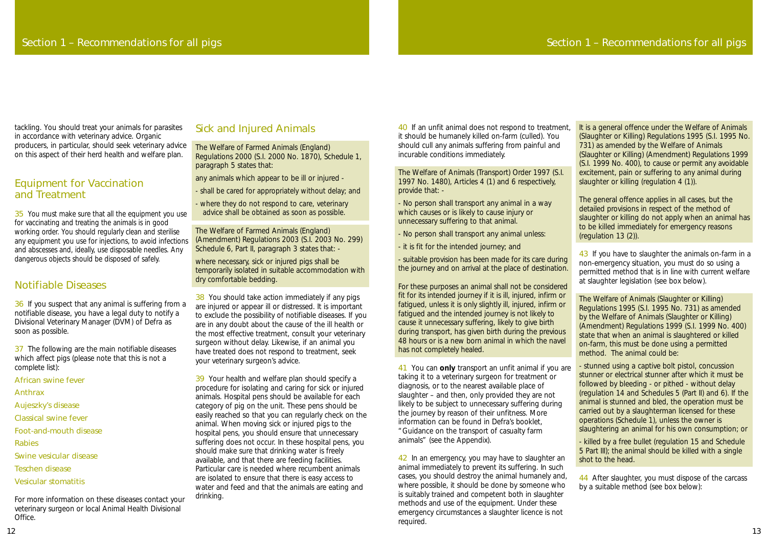tackling. You should treat your animals for parasites in accordance with veterinary advice. Organic producers, in particular, should seek veterinary advice on this aspect of their herd health and welfare plan.

#### Equipment for Vaccination and Treatment

35 You must make sure that all the equipment you use for vaccinating and treating the animals is in good working order. You should regularly clean and sterilise any equipment you use for injections, to avoid infections and abscesses and, ideally, use disposable needles. Any dangerous objects should be disposed of safely.

37 The following are the main notifiable diseases which affect pigs (please note that this is not a complete list):

#### Notifiable Diseases

36 If you suspect that any animal is suffering from a notifiable disease, you have a legal duty to notify a Divisional Veterinary Manager (DVM) of Defra as soon as possible.

#### African swine fever

#### Anthrax

- Aujeszky's disease
- Classical swine fever
- Foot-and-mouth disease

Rabies

Swine vesicular disease

- Teschen disease
- Vesicular stomatitis

38 You should take action immediately if any pigs are injured or appear ill or distressed. It is important to exclude the possibility of notifiable diseases. If you are in any doubt about the cause of the ill health or the most effective treatment, consult your veterinary surgeon without delay. Likewise, if an animal you have treated does not respond to treatment, seek your veterinary surgeon's advice.

For more information on these diseases contact your veterinary surgeon or local Animal Health Divisional Office.

#### Sick and Injured Animals

The Welfare of Farmed Animals (England) Regulations 2000 (S.I. 2000 No. 1870), Schedule 1, paragraph 5 states that:

any animals which appear to be ill or injured -

39 Your health and welfare plan should specify a procedure for isolating and caring for sick or injured animals. Hospital pens should be available for each category of pig on the unit. These pens should be easily reached so that you can regularly check on the animal. When moving sick or injured pigs to the hospital pens, you should ensure that unnecessary suffering does not occur. In these hospital pens, you should make sure that drinking water is freely available, and that there are feeding facilities. Particular care is needed where recumbent animals are isolated to ensure that there is easy access to water and feed and that the animals are eating and drinking.

- shall be cared for appropriately without delay; and
- where they do not respond to care, veterinary advice shall be obtained as soon as possible.

The Welfare of Farmed Animals (England) (Amendment) Regulations 2003 (S.I. 2003 No. 299) Schedule 6, Part II, paragraph 3 states that: -

where necessary, sick or injured pigs shall be temporarily isolated in suitable accommodation with dry comfortable bedding.

> 42 In an emergency, you may have to slaughter an animal immediately to prevent its suffering. In such cases, you should destroy the animal humanely and, where possible, it should be done by someone who is suitably trained and competent both in slaughter methods and use of the equipment. Under these emergency circumstances a slaughter licence is not required.

40 If an unfit animal does not respond to treatment, it should be humanely killed on-farm (culled). You should cull any animals suffering from painful and incurable conditions immediately.

The Welfare of Animals (Transport) Order 1997 (S.I. 1997 No. 1480), Articles 4 (1) and 6 respectively, provide that: -

> 44 After slaughter, you must dispose of the carcass by a suitable method (see box below):

- No person shall transport any animal in a way which causes or is likely to cause injury or unnecessary suffering to that animal.

- No person shall transport any animal unless:
- it is fit for the intended journey; and

- suitable provision has been made for its care during the journey and on arrival at the place of destination.

For these purposes an animal shall not be considered fit for its intended journey if it is ill, injured, infirm or fatigued, unless it is only slightly ill, injured, infirm or fatigued and the intended journey is not likely to cause it unnecessary suffering, likely to give birth during transport, has given birth during the previous 48 hours or is a new born animal in which the navel has not completely healed.

41 You can **only** transport an unfit animal if you are taking it to a veterinary surgeon for treatment or diagnosis, or to the nearest available place of slaughter – and then, only provided they are not likely to be subject to unnecessary suffering during the journey by reason of their unfitness. More information can be found in Defra's booklet, "Guidance on the transport of casualty farm animals" (see the Appendix).

The general offence applies in all cases, but the detailed provisions in respect of the method of slaughter or killing do not apply when an animal has to be killed immediately for emergency reasons (regulation 13 (2)).

43 If you have to slaughter the animals on-farm in a non-emergency situation, you must do so using a permitted method that is in line with current welfare at slaughter legislation (see box below).

The Welfare of Animals (Slaughter or Killing) Regulations 1995 (S.I. 1995 No. 731) as amended by the Welfare of Animals (Slaughter or Killing) (Amendment) Regulations 1999 (S.I. 1999 No. 400) state that when an animal is slaughtered or killed on-farm, this must be done using a permitted method. The animal could be:

- stunned using a captive bolt pistol, concussion stunner or electrical stunner after which it must be followed by bleeding - or pithed - without delay (regulation 14 and Schedules 5 (Part II) and 6). If the animal is stunned and bled, the operation must be carried out by a slaughterman licensed for these operations (Schedule 1), unless the owner is slaughtering an animal for his own consumption; or

- killed by a free bullet (regulation 15 and Schedule 5 Part III); the animal should be killed with a single shot to the head.

It is a general offence under the Welfare of Animals (Slaughter or Killing) Regulations 1995 (S.I. 1995 No. 731) as amended by the Welfare of Animals (Slaughter or Killing) (Amendment) Regulations 1999 (S.I. 1999 No. 400), to cause or permit any avoidable excitement, pain or suffering to any animal during slaughter or killing (regulation 4 (1)).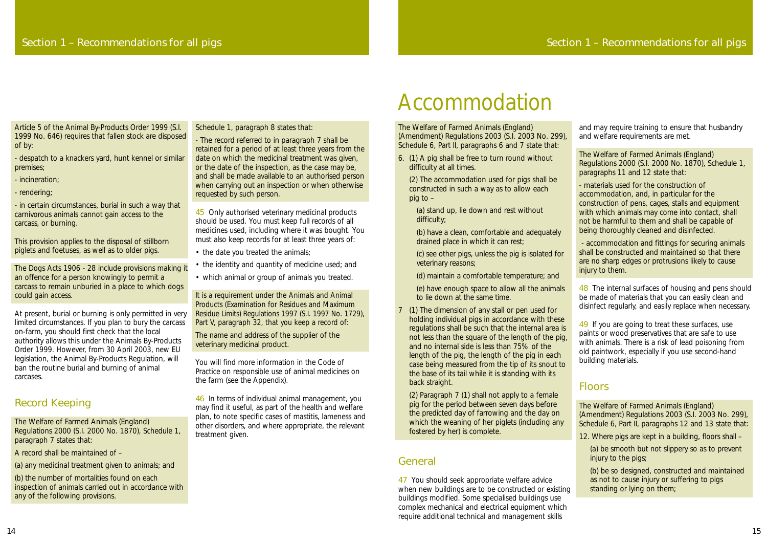The Welfare of Farmed Animals (England) (Amendment) Regulations 2003 (S.I. 2003 No. 299), Schedule 6, Part II, paragraphs 6 and 7 state that:

6. (1) A pig shall be free to turn round without difficulty at all times.

(2) The accommodation used for pigs shall be constructed in such a way as to allow each pig to –

- (a) stand up, lie down and rest without difficulty;
- (b) have a clean, comfortable and adequately drained place in which it can rest;

(c) see other pigs, unless the pig is isolated for veterinary reasons;

(d) maintain a comfortable temperature; and

(e) have enough space to allow all the animals to lie down at the same time.

7 (1) The dimension of any stall or pen used for holding individual pigs in accordance with these regulations shall be such that the internal area is not less than the square of the length of the pig, and no internal side is less than 75% of the length of the pig, the length of the pig in each case being measured from the tip of its snout to the base of its tail while it is standing with its back straight.

48 The internal surfaces of housing and pens should be made of materials that you can easily clean and disinfect regularly, and easily replace when necessary.

(2) Paragraph 7 (1) shall not apply to a female pig for the period between seven days before the predicted day of farrowing and the day on which the weaning of her piglets (including any fostered by her) is complete.

49 If you are going to treat these surfaces, use paints or wood preservatives that are safe to use with animals. There is a risk of lead poisoning from old paintwork, especially if you use second-hand building materials.

### General

47 You should seek appropriate welfare advice when new buildings are to be constructed or existing buildings modified. Some specialised buildings use complex mechanical and electrical equipment which require additional technical and management skills

and may require training to ensure that husbandry and welfare requirements are met.

The Welfare of Farmed Animals (England) Regulations 2000 (S.I. 2000 No. 1870), Schedule 1, paragraphs 11 and 12 state that:

- materials used for the construction of accommodation, and, in particular for the construction of pens, cages, stalls and equipment with which animals may come into contact, shall not be harmful to them and shall be capable of being thoroughly cleaned and disinfected.

- accommodation and fittings for securing animals shall be constructed and maintained so that there are no sharp edges or protrusions likely to cause injury to them.

45 Only authorised veterinary medicinal products should be used. You must keep full records of all medicines used, including where it was bought. You must also keep records for at least three years of:

- the date you treated the animals;
- the identity and quantity of medicine used; and
- which animal or group of animals you treated.

It is a requirement under the Animals and Animal Products (Examination for Residues and Maximum Residue Limits) Regulations 1997 (S.I. 1997 No. 1729), Part V, paragraph 32, that you keep a record of:

### Floors

The Welfare of Farmed Animals (England) (Amendment) Regulations 2003 (S.I. 2003 No. 299), Schedule 6, Part II, paragraphs 12 and 13 state that:

12. Where pigs are kept in a building, floors shall –

(a) be smooth but not slippery so as to prevent injury to the pigs;

(b) be so designed, constructed and maintained as not to cause injury or suffering to pigs standing or lying on them;

# Accommodation

Article 5 of the Animal By-Products Order 1999 (S.I. 1999 No. 646) requires that fallen stock are disposed of by:

- despatch to a knackers yard, hunt kennel or similar premises;

- incineration;
- rendering;

- in certain circumstances, burial in such a way that carnivorous animals cannot gain access to the carcass, or burning.

This provision applies to the disposal of stillborn piglets and foetuses, as well as to older pigs.

The Dogs Acts 1906 - 28 include provisions making it an offence for a person knowingly to permit a carcass to remain unburied in a place to which dogs could gain access.

At present, burial or burning is only permitted in very limited circumstances. If you plan to bury the carcass on-farm, you should first check that the local authority allows this under the Animals By-Products Order 1999. However, from 30 April 2003, new EU legislation, the Animal By-Products Regulation, will ban the routine burial and burning of animal carcases.

### Record Keeping

The Welfare of Farmed Animals (England) Regulations 2000 (S.I. 2000 No. 1870), Schedule 1, paragraph 7 states that:

A record shall be maintained of –

(a) any medicinal treatment given to animals; and

(b) the number of mortalities found on each inspection of animals carried out in accordance with any of the following provisions.

Schedule 1, paragraph 8 states that:

- The record referred to in paragraph 7 shall be retained for a period of at least three years from the date on which the medicinal treatment was given, or the date of the inspection, as the case may be, and shall be made available to an authorised person when carrying out an inspection or when otherwise requested by such person.

The name and address of the supplier of the veterinary medicinal product.

You will find more information in the Code of Practice on responsible use of animal medicines on the farm (see the Appendix).

46 In terms of individual animal management, you may find it useful, as part of the health and welfare plan, to note specific cases of mastitis, lameness and other disorders, and where appropriate, the relevant treatment given.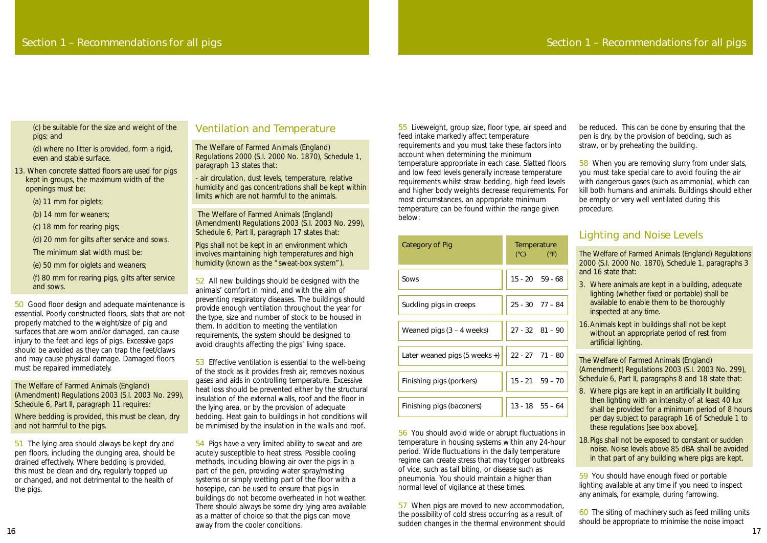(c) be suitable for the size and weight of the pigs; and

(d) where no litter is provided, form a rigid, even and stable surface.

- 13. When concrete slatted floors are used for pigs kept in groups, the maximum width of the openings must be:
	- (a) 11 mm for piglets;
	- (b) 14 mm for weaners;
	- (c) 18 mm for rearing pigs;
	- (d) 20 mm for gilts after service and sows.
	- The minimum slat width must be:
	- (e) 50 mm for piglets and weaners;
	- (f) 80 mm for rearing pigs, gilts after service and sows.

50 Good floor design and adequate maintenance is essential. Poorly constructed floors, slats that are not properly matched to the weight/size of pig and surfaces that are worn and/or damaged, can cause injury to the feet and legs of pigs. Excessive gaps should be avoided as they can trap the feet/claws and may cause physical damage. Damaged floors must be repaired immediately.

The Welfare of Farmed Animals (England) (Amendment) Regulations 2003 (S.I. 2003 No. 299), Schedule 6, Part II, paragraph 11 requires:

Where bedding is provided, this must be clean, dry and not harmful to the pigs.

51 The lying area should always be kept dry and pen floors, including the dunging area, should be drained effectively. Where bedding is provided, this must be clean and dry, regularly topped up or changed, and not detrimental to the health of the pigs.

54 Pigs have a very limited ability to sweat and are acutely susceptible to heat stress. Possible cooling methods, including blowing air over the pigs in a part of the pen, providing water spray/misting systems or simply wetting part of the floor with a hosepipe, can be used to ensure that pigs in buildings do not become overheated in hot weather. There should always be some dry lying area available as a matter of choice so that the pigs can move away from the cooler conditions.<br>
16

#### Ventilation and Temperature

The Welfare of Farmed Animals (England) Regulations 2000 (S.I. 2000 No. 1870), Schedule 1, paragraph 13 states that:

- air circulation, dust levels, temperature, relative humidity and gas concentrations shall be kept within limits which are not harmful to the animals.

The Welfare of Farmed Animals (England) (Amendment) Regulations 2003 (S.I. 2003 No. 299), Schedule 6, Part II, paragraph 17 states that:

Pigs shall not be kept in an environment which involves maintaining high temperatures and high humidity (known as the "sweat-box system").

52 All new buildings should be designed with the animals' comfort in mind, and with the aim of preventing respiratory diseases. The buildings should provide enough ventilation throughout the year for the type, size and number of stock to be housed in them. In addition to meeting the ventilation requirements, the system should be designed to avoid draughts affecting the pigs' living space.

53 Effective ventilation is essential to the well-being of the stock as it provides fresh air, removes noxious gases and aids in controlling temperature. Excessive heat loss should be prevented either by the structural insulation of the external walls, roof and the floor in the lying area, or by the provision of adequate bedding. Heat gain to buildings in hot conditions will be minimised by the insulation in the walls and roof.

55 Liveweight, group size, floor type, air speed and feed intake markedly affect temperature requirements and you must take these factors into account when determining the minimum temperature appropriate in each case. Slatted floors and low feed levels generally increase temperature requirements whilst straw bedding, high feed levels and higher body weights decrease requirements. For most circumstances, an appropriate minimum temperature can be found within the range given below:

| Category of Pig               | Temperature<br>$(^{\circ}C)$ $(^{\circ}F)$        |
|-------------------------------|---------------------------------------------------|
| Sows                          | $15 - 20$ $59 - 68$                               |
| Suckling pigs in creeps       | $25 - 30$ 77 - 84                                 |
| Weaned pigs $(3 - 4$ weeks)   | $27 - 32$ $81 - 90$                               |
| Later weaned pigs (5 weeks +) | $\begin{vmatrix} 22 - 27 & 71 - 80 \end{vmatrix}$ |
| Finishing pigs (porkers)      | $15 - 21$ $59 - 70$                               |
| Finishing pigs (baconers)     | $13 - 18$ $55 - 64$                               |

56 You should avoid wide or abrupt fluctuations in temperature in housing systems within any 24-hour period. Wide fluctuations in the daily temperature regime can create stress that may trigger outbreaks of vice, such as tail biting, or disease such as pneumonia. You should maintain a higher than normal level of vigilance at these times.

57 When pigs are moved to new accommodation, the possibility of cold stress occurring as a result of sudden changes in the thermal environment should be reduced. This can be done by ensuring that the pen is dry, by the provision of bedding, such as straw, or by preheating the building.

58 When you are removing slurry from under slats, you must take special care to avoid fouling the air with dangerous gases (such as ammonia), which can kill both humans and animals. Buildings should either be empty or very well ventilated during this procedure.

### Lighting and Noise Levels

The Welfare of Farmed Animals (England) Regulations 2000 (S.I. 2000 No. 1870), Schedule 1, paragraphs 3 and 16 state that:

- 3. Where animals are kept in a building, adequate lighting (whether fixed or portable) shall be available to enable them to be thoroughly inspected at any time.
- 16.Animals kept in buildings shall not be kept without an appropriate period of rest from artificial lighting.

The Welfare of Farmed Animals (England) (Amendment) Regulations 2003 (S.I. 2003 No. 299), Schedule 6, Part II, paragraphs 8 and 18 state that:

- 8. Where pigs are kept in an artificially lit building then lighting with an intensity of at least 40 lux shall be provided for a minimum period of 8 hours per day subject to paragraph 16 of Schedule 1 to these regulations *[see box above]*.
- 18.Pigs shall not be exposed to constant or sudden noise. Noise levels above 85 dBA shall be avoided in that part of any building where pigs are kept.

59 You should have enough fixed or portable lighting available at any time if you need to inspect any animals, for example, during farrowing.

60 The siting of machinery such as feed milling units should be appropriate to minimise the noise impact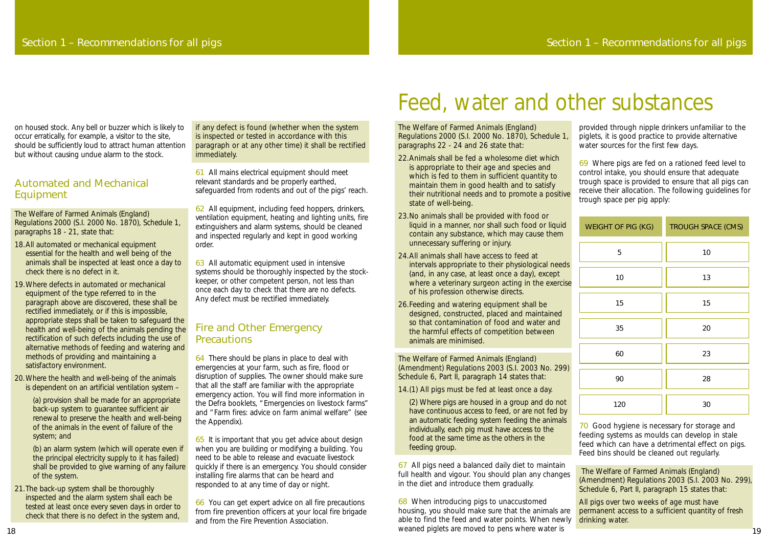The Welfare of Farmed Animals (England) Regulations 2000 (S.I. 2000 No. 1870), Schedule 1, paragraphs 22 - 24 and 26 state that:

- 22.Animals shall be fed a wholesome diet which is appropriate to their age and species and which is fed to them in sufficient quantity to maintain them in good health and to satisfy their nutritional needs and to promote a positive state of well-being.
- 23.No animals shall be provided with food or liquid in a manner, nor shall such food or liquid contain any substance, which may cause them unnecessary suffering or injury.
- 24.All animals shall have access to feed at intervals appropriate to their physiological needs (and, in any case, at least once a day), except where a veterinary surgeon acting in the exercise of his profession otherwise directs.
- 26.Feeding and watering equipment shall be designed, constructed, placed and maintained so that contamination of food and water and the harmful effects of competition between animals are minimised.

The Welfare of Farmed Animals (England) (Amendment) Regulations 2003 (S.I. 2003 No. 299) Schedule 6, Part II, paragraph 14 states that:

14.(1) All pigs must be fed at least once a day.

70 Good hygiene is necessary for storage and feeding systems as moulds can develop in stale feed which can have a detrimental effect on pigs. Feed bins should be cleaned out regularly.

(2) Where pigs are housed in a group and do not have continuous access to feed, or are not fed by an automatic feeding system feeding the animals individually, each pig must have access to the food at the same time as the others in the feeding group.

67 All pigs need a balanced daily diet to maintain full health and vigour. You should plan any changes in the diet and introduce them gradually.

provided through nipple drinkers unfamiliar to the piglets, it is good practice to provide alternative water sources for the first few days.

69 Where pigs are fed on a rationed feed level to control intake, you should ensure that adequate trough space is provided to ensure that all pigs can receive their allocation. The following guidelines for trough space per pig apply:

68 When introducing pigs to unaccustomed housing, you should make sure that the animals are able to find the feed and water points. When newly weaned piglets are moved to pens where water is All pigs over two weeks of age must have permanent access to a sufficient quantity of fresh drinking water.

| WEIGHT OF PIG (KG) | <b>TROUGH SPACE (CMS)</b> |
|--------------------|---------------------------|
| 5                  | 10                        |
| 10                 | 13                        |
| 15                 | 15                        |
| 35                 | 20                        |
| 60                 | 23                        |
| 90                 | 28                        |
| 120                | 30                        |

The Welfare of Farmed Animals (England) (Amendment) Regulations 2003 (S.I. 2003 No. 299), Schedule 6, Part II, paragraph 15 states that:

#### Fire and Other Emergency **Precautions**

# Feed, water and other substances

on housed stock. Any bell or buzzer which is likely to occur erratically, for example, a visitor to the site, should be sufficiently loud to attract human attention but without causing undue alarm to the stock.

#### Automated and Mechanical Equipment

The Welfare of Farmed Animals (England) Regulations 2000 (S.I. 2000 No. 1870), Schedule 1, paragraphs 18 - 21, state that:

- 18.All automated or mechanical equipment essential for the health and well being of the animals shall be inspected at least once a day to check there is no defect in it.
- 19.Where defects in automated or mechanical equipment of the type referred to in the paragraph above are discovered, these shall be rectified immediately, or if this is impossible, appropriate steps shall be taken to safeguard the health and well-being of the animals pending the rectification of such defects including the use of alternative methods of feeding and watering and methods of providing and maintaining a satisfactory environment.
- 20.Where the health and well-being of the animals is dependent on an artificial ventilation system –

(a) provision shall be made for an appropriate back-up system to guarantee sufficient air renewal to preserve the health and well-being of the animals in the event of failure of the system; and

(b) an alarm system (which will operate even if the principal electricity supply to it has failed) shall be provided to give warning of any failure of the system.

21.The back-up system shall be thoroughly inspected and the alarm system shall each be tested at least once every seven days in order to check that there is no defect in the system and,

if any defect is found (whether when the system is inspected or tested in accordance with this paragraph or at any other time) it shall be rectified immediately.

61 All mains electrical equipment should meet relevant standards and be properly earthed, safeguarded from rodents and out of the pigs' reach.

62 All equipment, including feed hoppers, drinkers, ventilation equipment, heating and lighting units, fire extinguishers and alarm systems, should be cleaned and inspected regularly and kept in good working order.

63 All automatic equipment used in intensive systems should be thoroughly inspected by the stockkeeper, or other competent person, not less than once each day to check that there are no defects. Any defect must be rectified immediately.

64 There should be plans in place to deal with emergencies at your farm, such as fire, flood or disruption of supplies. The owner should make sure that all the staff are familiar with the appropriate emergency action. You will find more information in the Defra booklets, "Emergencies on livestock farms" and "Farm fires: advice on farm animal welfare" (see the Appendix).

65 It is important that you get advice about design when you are building or modifying a building. You need to be able to release and evacuate livestock quickly if there is an emergency. You should consider installing fire alarms that can be heard and responded to at any time of day or night.

66 You can get expert advice on all fire precautions from fire prevention officers at your local fire brigade and from the Fire Prevention Association.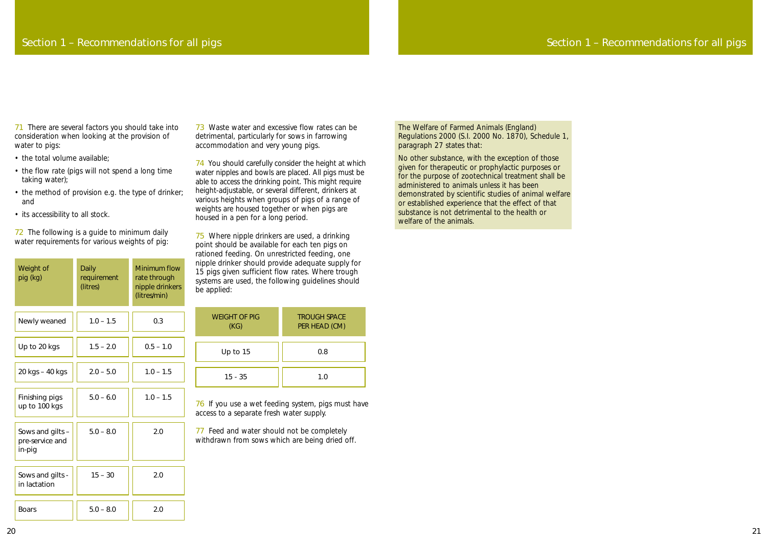The Welfare of Farmed Animals (England) Regulations 2000 (S.I. 2000 No. 1870), Schedule 1, paragraph 27 states that:

No other substance, with the exception of those given for therapeutic or prophylactic purposes or for the purpose of zootechnical treatment shall be administered to animals unless it has been demonstrated by scientific studies of animal welfare or established experience that the effect of that substance is not detrimental to the health or welfare of the animals.

71 There are several factors you should take into consideration when looking at the provision of water to pigs:

- the total volume available:
- the flow rate (pigs will not spend a long time taking water);
- the method of provision e.g. the type of drinker; and
- its accessibility to all stock.

72 The following is a guide to minimum daily water requirements for various weights of pig:

## Section 1 – Recommendations for all pigs

73 Waste water and excessive flow rates can be detrimental, particularly for sows in farrowing accommodation and very young pigs.

74 You should carefully consider the height at which water nipples and bowls are placed. All pigs must be able to access the drinking point. This might require height-adjustable, or several different, drinkers at various heights when groups of pigs of a range of weights are housed together or when pigs are housed in a pen for a long period.

75 Where nipple drinkers are used, a drinking point should be available for each ten pigs on rationed feeding. On unrestricted feeding, one nipple drinker should provide adequate supply for 15 pigs given sufficient flow rates. Where trough systems are used, the following guidelines should be applied:

76 If you use a wet feeding system, pigs must have access to a separate fresh water supply.

77 Feed and water should not be completely withdrawn from sows which are being dried off.

| Weight of<br>pig (kg)                         | Daily<br>requirement<br>(litres) | <b>Minimum flow</b><br>rate through<br>nipple drinkers<br>(litres/min) |
|-----------------------------------------------|----------------------------------|------------------------------------------------------------------------|
| Newly weaned                                  | $1.0 - 1.5$                      | 0.3                                                                    |
| Up to 20 kgs                                  | $1.5 - 2.0$                      | $0.5 - 1.0$                                                            |
| 20 kgs - 40 kgs                               | $2.0 - 5.0$                      | $1.0 - 1.5$                                                            |
| Finishing pigs<br>up to 100 kgs               | $5.0 - 6.0$                      | $1.0 - 1.5$                                                            |
| Sows and gilts -<br>pre-service and<br>in-pig | $5.0 - 8.0$                      | 2.0                                                                    |
| Sows and gilts -<br>in lactation              | $15 - 30$                        | 2.0                                                                    |
| <b>Boars</b>                                  | $5.0 - 8.0$                      | 2.0                                                                    |

| <b>WEIGHT OF PIG</b><br>(KG) | <b>TROUGH SPACE</b><br>PER HEAD (CM) |
|------------------------------|--------------------------------------|
| Up to 15                     | 0.8                                  |
| $15 - 35$                    | 1.0                                  |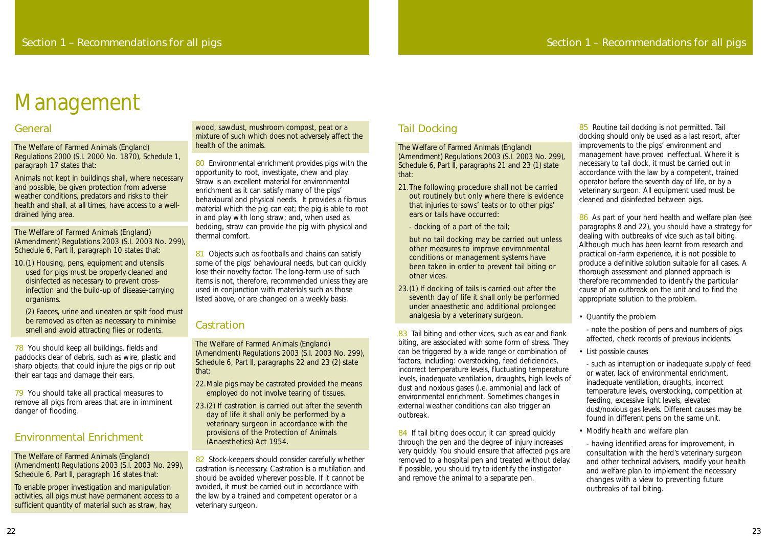## Tail Docking

The Welfare of Farmed Animals (England) (Amendment) Regulations 2003 (S.I. 2003 No. 299), Schedule 6, Part II, paragraphs 21 and 23 (1) state that:

- 21.The following procedure shall not be carried out routinely but only where there is evidence that injuries to sows' teats or to other pigs' ears or tails have occurred:
	- docking of a part of the tail;
	- but no tail docking may be carried out unless other measures to improve environmental conditions or management systems have been taken in order to prevent tail biting or other vices.
- 23.(1) If docking of tails is carried out after the seventh day of life it shall only be performed under anaesthetic and additional prolonged analgesia by a veterinary surgeon.

83 Tail biting and other vices, such as ear and flank biting, are associated with some form of stress. They can be triggered by a wide range or combination of factors, including: overstocking, feed deficiencies, incorrect temperature levels, fluctuating temperature levels, inadequate ventilation, draughts, high levels of dust and noxious gases (i.e. ammonia) and lack of environmental enrichment. Sometimes changes in external weather conditions can also trigger an outbreak.

84 If tail biting does occur, it can spread quickly through the pen and the degree of injury increases very quickly. You should ensure that affected pigs are removed to a hospital pen and treated without delay. If possible, you should try to identify the instigator and remove the animal to a separate pen.

85 Routine tail docking is not permitted. Tail docking should only be used as a last resort, after improvements to the pigs' environment and management have proved ineffectual. Where it is necessary to tail dock, it must be carried out in accordance with the law by a competent, trained operator before the seventh day of life, or by a veterinary surgeon. All equipment used must be cleaned and disinfected between pigs.

86 As part of your herd health and welfare plan (see paragraphs 8 and 22), you should have a strategy for dealing with outbreaks of vice such as tail biting. Although much has been learnt from research and practical on-farm experience, it is not possible to produce a definitive solution suitable for all cases. A thorough assessment and planned approach is therefore recommended to identify the particular cause of an outbreak on the unit and to find the appropriate solution to the problem.

78 You should keep all buildings, fields and paddocks clear of debris, such as wire, plastic and sharp objects, that could injure the pigs or rip out their ear tags and damage their ears.

79 You should take all practical measures to remove all pigs from areas that are in imminent danger of flooding.

• Quantify the problem

- note the position of pens and numbers of pigs affected, check records of previous incidents.

• List possible causes

80 Environmental enrichment provides pigs with the opportunity to root, investigate, chew and play. Straw is an excellent material for environmental enrichment as it can satisfy many of the pigs' behavioural and physical needs. It provides a fibrous material which the pig can eat; the pig is able to root in and play with long straw; and, when used as bedding, straw can provide the pig with physical and thermal comfort.

> - such as interruption or inadequate supply of feed or water, lack of environmental enrichment, inadequate ventilation, draughts, incorrect temperature levels, overstocking, competition at feeding, excessive light levels, elevated dust/noxious gas levels. Different causes may be found in different pens on the same unit.

81 Objects such as footballs and chains can satisfy some of the pigs' behavioural needs, but can quickly lose their novelty factor. The long-term use of such items is not, therefore, recommended unless they are used in conjunction with materials such as those listed above, or are changed on a weekly basis.

### **Castration**

• Modify health and welfare plan

- having identified areas for improvement, in consultation with the herd's veterinary surgeon and other technical advisers, modify your health and welfare plan to implement the necessary changes with a view to preventing future outbreaks of tail biting.

82 Stock-keepers should consider carefully whether castration is necessary. Castration is a mutilation and should be avoided wherever possible. If it cannot be avoided, it must be carried out in accordance with the law by a trained and competent operator or a veterinary surgeon.

#### General

The Welfare of Farmed Animals (England) Regulations 2000 (S.I. 2000 No. 1870), Schedule 1, paragraph 17 states that:

Animals not kept in buildings shall, where necessary and possible, be given protection from adverse weather conditions, predators and risks to their health and shall, at all times, have access to a welldrained lying area.

The Welfare of Farmed Animals (England) (Amendment) Regulations 2003 (S.I. 2003 No. 299), Schedule 6, Part II, paragraph 10 states that:

10.(1) Housing, pens, equipment and utensils used for pigs must be properly cleaned and disinfected as necessary to prevent crossinfection and the build-up of disease-carrying organisms.

(2) Faeces, urine and uneaten or spilt food must be removed as often as necessary to minimise smell and avoid attracting flies or rodents.

### Environmental Enrichment

The Welfare of Farmed Animals (England) (Amendment) Regulations 2003 (S.I. 2003 No. 299), Schedule 6, Part II, paragraph 16 states that:

To enable proper investigation and manipulation activities, all pigs must have permanent access to a sufficient quantity of material such as straw, hay,

wood, sawdust, mushroom compost, peat or a mixture of such which does not adversely affect the health of the animals.

The Welfare of Farmed Animals (England) (Amendment) Regulations 2003 (S.I. 2003 No. 299), Schedule 6, Part II, paragraphs 22 and 23 (2) state that:

- 22.Male pigs may be castrated provided the means employed do not involve tearing of tissues.
- 23.(2) If castration is carried out after the seventh day of life it shall only be performed by a veterinary surgeon in accordance with the provisions of the Protection of Animals (Anaesthetics) Act 1954.

# Management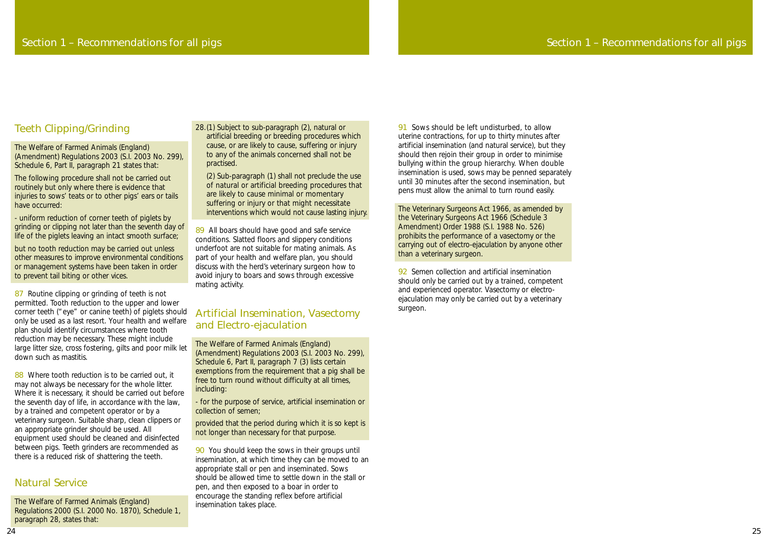91 Sows should be left undisturbed, to allow uterine contractions, for up to thirty minutes after artificial insemination (and natural service), but they should then rejoin their group in order to minimise bullying within the group hierarchy. When double insemination is used, sows may be penned separately until 30 minutes after the second insemination, but pens must allow the animal to turn round easily.

92 Semen collection and artificial insemination should only be carried out by a trained, competent and experienced operator. Vasectomy or electroejaculation may only be carried out by a veterinary surgeon.

The Veterinary Surgeons Act 1966, as amended by the Veterinary Surgeons Act 1966 (Schedule 3 Amendment) Order 1988 (S.I. 1988 No. 526) prohibits the performance of a vasectomy or the carrying out of electro-ejaculation by anyone other than a veterinary surgeon.

## Section 1 – Recommendations for all pigs

### Teeth Clipping/Grinding

87 Routine clipping or grinding of teeth is not permitted. Tooth reduction to the upper and lower corner teeth ("eye" or canine teeth) of piglets should only be used as a last resort. Your health and welfare plan should identify circumstances where tooth reduction may be necessary. These might include large litter size, cross fostering, gilts and poor milk let down such as mastitis.

The Welfare of Farmed Animals (England) (Amendment) Regulations 2003 (S.I. 2003 No. 299), Schedule 6, Part II, paragraph 21 states that:

The following procedure shall not be carried out routinely but only where there is evidence that injuries to sows' teats or to other pigs' ears or tails have occurred:

88 Where tooth reduction is to be carried out, it may not always be necessary for the whole litter. Where it is necessary, it should be carried out before the seventh day of life, in accordance with the law, by a trained and competent operator or by a veterinary surgeon. Suitable sharp, clean clippers or an appropriate grinder should be used. All equipment used should be cleaned and disinfected between pigs. Teeth grinders are recommended as there is a reduced risk of shattering the teeth.

- uniform reduction of corner teeth of piglets by grinding or clipping not later than the seventh day of life of the piglets leaving an intact smooth surface;

but no tooth reduction may be carried out unless other measures to improve environmental conditions or management systems have been taken in order to prevent tail biting or other vices.

89 All boars should have good and safe service conditions. Slatted floors and slippery conditions underfoot are not suitable for mating animals. As part of your health and welfare plan, you should discuss with the herd's veterinary surgeon how to avoid injury to boars and sows through excessive mating activity.

90 You should keep the sows in their groups until insemination, at which time they can be moved to an appropriate stall or pen and inseminated. Sows should be allowed time to settle down in the stall or pen, and then exposed to a boar in order to encourage the standing reflex before artificial insemination takes place.

#### Natural Service

The Welfare of Farmed Animals (England) Regulations 2000 (S.I. 2000 No. 1870), Schedule 1, paragraph 28, states that:

28.(1) Subject to sub-paragraph (2), natural or artificial breeding or breeding procedures which cause, or are likely to cause, suffering or injury to any of the animals concerned shall not be practised.

(2) Sub-paragraph (1) shall not preclude the use of natural or artificial breeding procedures that are likely to cause minimal or momentary suffering or injury or that might necessitate interventions which would not cause lasting injury.

#### Artificial Insemination, Vasectomy and Electro-ejaculation

The Welfare of Farmed Animals (England) (Amendment) Regulations 2003 (S.I. 2003 No. 299), Schedule 6, Part II, paragraph 7 (3) lists certain exemptions from the requirement that a pig shall be free to turn round without difficulty at all times, including:

- for the purpose of service, artificial insemination or collection of semen;

provided that the period during which it is so kept is not longer than necessary for that purpose.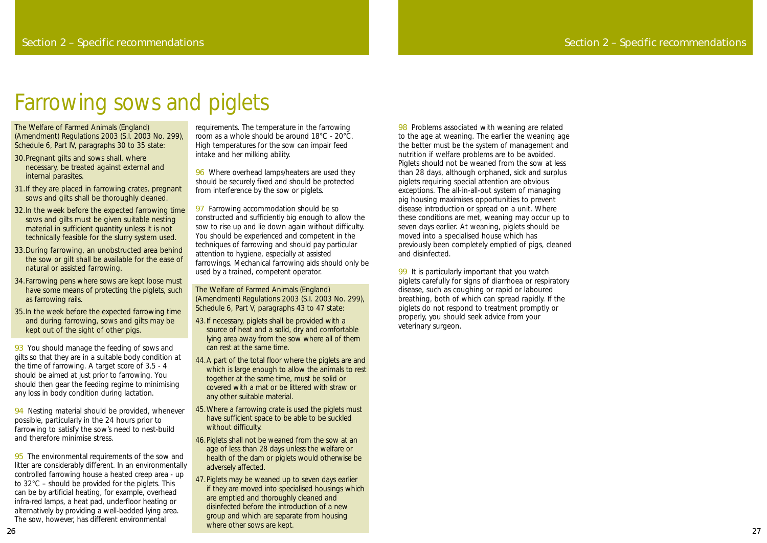## Farrowing sows and piglets

98 Problems associated with weaning are related to the age at weaning. The earlier the weaning age the better must be the system of management and nutrition if welfare problems are to be avoided. Piglets should not be weaned from the sow at less than 28 days, although orphaned, sick and surplus piglets requiring special attention are obvious exceptions. The all-in-all-out system of managing pig housing maximises opportunities to prevent disease introduction or spread on a unit. Where these conditions are met, weaning may occur up to seven days earlier. At weaning, piglets should be moved into a specialised house which has previously been completely emptied of pigs, cleaned and disinfected.

99 It is particularly important that you watch piglets carefully for signs of diarrhoea or respiratory disease, such as coughing or rapid or laboured breathing, both of which can spread rapidly. If the piglets do not respond to treatment promptly or properly, you should seek advice from your veterinary surgeon.

### Section 2 – Specific recommendations

93 You should manage the feeding of sows and gilts so that they are in a suitable body condition at the time of farrowing. A target score of 3.5 - 4 should be aimed at just prior to farrowing. You should then gear the feeding regime to minimising any loss in body condition during lactation.

The Welfare of Farmed Animals (England) (Amendment) Regulations 2003 (S.I. 2003 No. 299), Schedule 6, Part IV, paragraphs 30 to 35 state:

94 Nesting material should be provided, whenever possible, particularly in the 24 hours prior to farrowing to satisfy the sow's need to nest-build and therefore minimise stress.

95 The environmental requirements of the sow and litter are considerably different. In an environmentally controlled farrowing house a heated creep area - up to 32°C – should be provided for the piglets. This can be by artificial heating, for example, overhead infra-red lamps, a heat pad, underfloor heating or alternatively by providing a well-bedded lying area. The sow, however, has different environmental

96 Where overhead lamps/heaters are used they should be securely fixed and should be protected from interference by the sow or piglets.

- 30.Pregnant gilts and sows shall, where necessary, be treated against external and internal parasites.
- 31.If they are placed in farrowing crates, pregnant sows and gilts shall be thoroughly cleaned.
- 32.In the week before the expected farrowing time sows and gilts must be given suitable nesting material in sufficient quantity unless it is not technically feasible for the slurry system used.
- 33.During farrowing, an unobstructed area behind the sow or gilt shall be available for the ease of natural or assisted farrowing.
- 34.Farrowing pens where sows are kept loose must have some means of protecting the piglets, such as farrowing rails.
- 35.In the week before the expected farrowing time and during farrowing, sows and gilts may be kept out of the sight of other pigs.

97 Farrowing accommodation should be so constructed and sufficiently big enough to allow the sow to rise up and lie down again without difficulty. You should be experienced and competent in the techniques of farrowing and should pay particular attention to hygiene, especially at assisted farrowings. Mechanical farrowing aids should only be used by a trained, competent operator.

- 43.If necessary, piglets shall be provided with a source of heat and a solid, dry and comfortable lying area away from the sow where all of them can rest at the same time.
- 44.A part of the total floor where the piglets are and which is large enough to allow the animals to rest together at the same time, must be solid or covered with a mat or be littered with straw or any other suitable material.
- 45.Where a farrowing crate is used the piglets must have sufficient space to be able to be suckled without difficulty.
- 46.Piglets shall not be weaned from the sow at an age of less than 28 days unless the welfare or health of the dam or piglets would otherwise be adversely affected.
- 47.Piglets may be weaned up to seven days earlier if they are moved into specialised housings which are emptied and thoroughly cleaned and disinfected before the introduction of a new group and which are separate from housing where other sows are kept.

requirements. The temperature in the farrowing room as a whole should be around 18°C - 20°C. High temperatures for the sow can impair feed intake and her milking ability.

The Welfare of Farmed Animals (England) (Amendment) Regulations 2003 (S.I. 2003 No. 299), Schedule 6, Part V, paragraphs 43 to 47 state: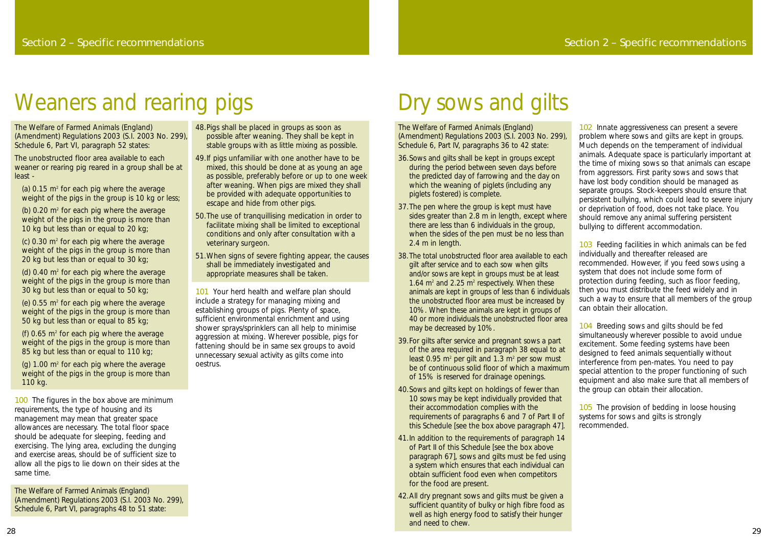The Welfare of Farmed Animals (England) (Amendment) Regulations 2003 (S.I. 2003 No. 299), Schedule 6, Part IV, paragraphs 36 to 42 state:

- 36.Sows and gilts shall be kept in groups except during the period between seven days before the predicted day of farrowing and the day on which the weaning of piglets (including any piglets fostered) is complete.
- 37.The pen where the group is kept must have sides greater than 2.8 m in length, except where there are less than 6 individuals in the group, when the sides of the pen must be no less than 2.4 m in length.
- 38.The total unobstructed floor area available to each gilt after service and to each sow when gilts and/or sows are kept in groups must be at least 1.64  $m<sup>2</sup>$  and 2.25  $m<sup>2</sup>$  respectively. When these animals are kept in groups of less than 6 individuals the unobstructed floor area must be increased by 10%. When these animals are kept in groups of 40 or more individuals the unobstructed floor area may be decreased by 10%.
- 39.For gilts after service and pregnant sows a part of the area required in paragraph 38 equal to at least  $0.95$  m<sup>2</sup> per gilt and  $1.3$  m<sup>2</sup> per sow must be of continuous solid floor of which a maximum of 15% is reserved for drainage openings.
- 40.Sows and gilts kept on holdings of fewer than 10 sows may be kept individually provided that their accommodation complies with the requirements of paragraphs 6 and 7 of Part II of this Schedule *[see the box above paragraph 47]*.
- 41.In addition to the requirements of paragraph 14 of Part II of this Schedule *[see the box above paragraph 67]*, sows and gilts must be fed using a system which ensures that each individual can obtain sufficient food even when competitors for the food are present.
- 42.All dry pregnant sows and gilts must be given a sufficient quantity of bulky or high fibre food as well as high energy food to satisfy their hunger and need to chew.

102 Innate aggressiveness can present a severe problem where sows and gilts are kept in groups. Much depends on the temperament of individual animals. Adequate space is particularly important at the time of mixing sows so that animals can escape from aggressors. First parity sows and sows that have lost body condition should be managed as separate groups. Stock-keepers should ensure that persistent bullying, which could lead to severe injury or deprivation of food, does not take place. You should remove any animal suffering persistent bullying to different accommodation.

(c)  $0.30$  m<sup>2</sup> for each pig where the average weight of the pigs in the group is more than 20 kg but less than or equal to 30 kg;

(d)  $0.40$  m<sup>2</sup> for each pig where the average weight of the pigs in the group is more than 30 kg but less than or equal to 50 kg;

(e)  $0.55$  m<sup>2</sup> for each pig where the average weight of the pigs in the group is more than 50 kg but less than or equal to 85 kg;

(f)  $0.65$  m<sup>2</sup> for each pig where the average weight of the pigs in the group is more than 85 kg but less than or equal to 110 kg;

(g)  $1.00 \text{ m}^2$  for each pig where the average weight of the pigs in the group is more than 110 kg.

100 The figures in the box above are minimum requirements, the type of housing and its management may mean that greater space allowances are necessary. The total floor space should be adequate for sleeping, feeding and exercising. The lying area, excluding the dunging and exercise areas, should be of sufficient size to allow all the pigs to lie down on their sides at the same time.

103 Feeding facilities in which animals can be fed individually and thereafter released are recommended. However, if you feed sows using a system that does not include some form of protection during feeding, such as floor feeding, then you must distribute the feed widely and in such a way to ensure that all members of the group can obtain their allocation.

104 Breeding sows and gilts should be fed simultaneously wherever possible to avoid undue excitement. Some feeding systems have been designed to feed animals sequentially without interference from pen-mates. You need to pay special attention to the proper functioning of such equipment and also make sure that all members of the group can obtain their allocation.

101 Your herd health and welfare plan should include a strategy for managing mixing and establishing groups of pigs. Plenty of space, sufficient environmental enrichment and using shower sprays/sprinklers can all help to minimise aggression at mixing. Wherever possible, pigs for fattening should be in same sex groups to avoid unnecessary sexual activity as gilts come into oestrus.

> 105 The provision of bedding in loose housing systems for sows and gilts is strongly recommended.

# Dry sows and gilts

The Welfare of Farmed Animals (England) (Amendment) Regulations 2003 (S.I. 2003 No. 299), Schedule 6, Part VI, paragraph 52 states:

The unobstructed floor area available to each weaner or rearing pig reared in a group shall be at least -

(a)  $0.15$  m<sup>2</sup> for each pig where the average weight of the pigs in the group is 10 kg or less;

(b)  $0.20$  m<sup>2</sup> for each pig where the average weight of the pigs in the group is more than 10 kg but less than or equal to 20 kg;

The Welfare of Farmed Animals (England) (Amendment) Regulations 2003 (S.I. 2003 No. 299), Schedule 6, Part VI, paragraphs 48 to 51 state:

- 48.Pigs shall be placed in groups as soon as possible after weaning. They shall be kept in stable groups with as little mixing as possible.
- 49.If pigs unfamiliar with one another have to be mixed, this should be done at as young an age as possible, preferably before or up to one week after weaning. When pigs are mixed they shall be provided with adequate opportunities to escape and hide from other pigs.
- 50.The use of tranquillising medication in order to facilitate mixing shall be limited to exceptional conditions and only after consultation with a veterinary surgeon.
- 51.When signs of severe fighting appear, the causes shall be immediately investigated and appropriate measures shall be taken.

# Weaners and rearing pigs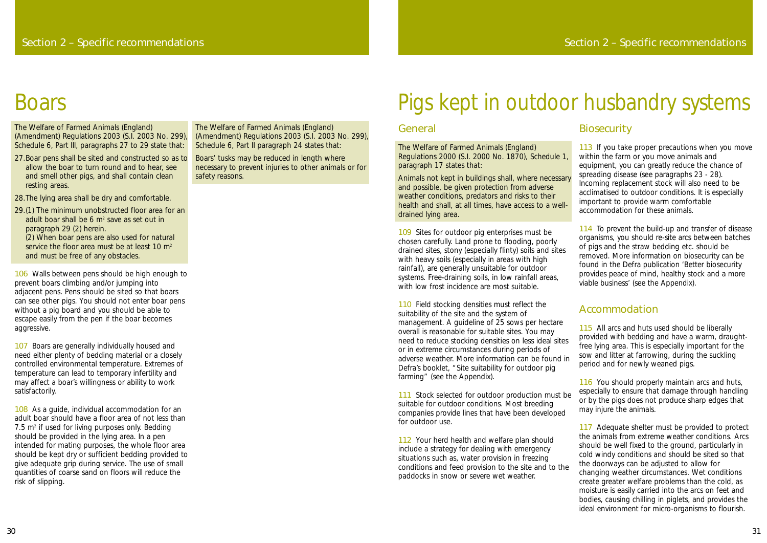#### General

The Welfare of Farmed Animals (England) Regulations 2000 (S.I. 2000 No. 1870), Schedule 1, paragraph 17 states that:

Animals not kept in buildings shall, where necessary and possible, be given protection from adverse weather conditions, predators and risks to their health and shall, at all times, have access to a welldrained lying area.

109 Sites for outdoor pig enterprises must be chosen carefully. Land prone to flooding, poorly drained sites, stony (especially flinty) soils and sites with heavy soils (especially in areas with high rainfall), are generally unsuitable for outdoor systems. Free-draining soils, in low rainfall areas, with low frost incidence are most suitable.

110 Field stocking densities must reflect the suitability of the site and the system of management. A guideline of 25 sows per hectare overall is reasonable for suitable sites. You may need to reduce stocking densities on less ideal sites or in extreme circumstances during periods of adverse weather. More information can be found in Defra's booklet, "Site suitability for outdoor pig farming" (see the Appendix).

111 Stock selected for outdoor production must be suitable for outdoor conditions. Most breeding companies provide lines that have been developed for outdoor use.

112 Your herd health and welfare plan should include a strategy for dealing with emergency situations such as, water provision in freezing conditions and feed provision to the site and to the paddocks in snow or severe wet weather.

113 If you take proper precautions when you move within the farm or you move animals and equipment, you can greatly reduce the chance of spreading disease (see paragraphs 23 - 28). Incoming replacement stock will also need to be acclimatised to outdoor conditions. It is especially important to provide warm comfortable accommodation for these animals.

114 To prevent the build-up and transfer of disease organisms, you should re-site arcs between batches of pigs and the straw bedding etc. should be removed. More information on biosecurity can be found in the Defra publication 'Better biosecurity provides peace of mind, healthy stock and a more viable business' (see the Appendix).

115 All arcs and huts used should be liberally provided with bedding and have a warm, draughtfree lying area. This is especially important for the sow and litter at farrowing, during the suckling period and for newly weaned pigs.

116 You should properly maintain arcs and huts, especially to ensure that damage through handling or by the pigs does not produce sharp edges that may injure the animals.

117 Adequate shelter must be provided to protect the animals from extreme weather conditions. Arcs should be well fixed to the ground, particularly in cold windy conditions and should be sited so that the doorways can be adjusted to allow for changing weather circumstances. Wet conditions create greater welfare problems than the cold, as moisture is easily carried into the arcs on feet and bodies, causing chilling in piglets, and provides the ideal environment for micro-organisms to flourish.

106 Walls between pens should be high enough to prevent boars climbing and/or jumping into adjacent pens. Pens should be sited so that boars can see other pigs. You should not enter boar pens without a pig board and you should be able to escape easily from the pen if the boar becomes aggressive.

107 Boars are generally individually housed and need either plenty of bedding material or a closely controlled environmental temperature. Extremes of temperature can lead to temporary infertility and may affect a boar's willingness or ability to work satisfactorily.

### Accommodation

108 As a guide, individual accommodation for an adult boar should have a floor area of not less than  $7.5$  m<sup>2</sup> if used for living purposes only. Bedding should be provided in the lying area. In a pen intended for mating purposes, the whole floor area should be kept dry or sufficient bedding provided to give adequate grip during service. The use of small quantities of coarse sand on floors will reduce the risk of slipping.

# Pigs kept in outdoor husbandry systems

### **Biosecurity**

The Welfare of Farmed Animals (England) (Amendment) Regulations 2003 (S.I. 2003 No. 299), Schedule 6, Part III, paragraphs 27 to 29 state that:

- 27.Boar pens shall be sited and constructed so as to allow the boar to turn round and to hear, see and smell other pigs, and shall contain clean resting areas.
- 28.The lying area shall be dry and comfortable.

29.(1) The minimum unobstructed floor area for an adult boar shall be 6  $m<sup>2</sup>$  save as set out in paragraph 29 (2) herein. (2) When boar pens are also used for natural service the floor area must be at least 10  $m<sup>2</sup>$ and must be free of any obstacles.

The Welfare of Farmed Animals (England) (Amendment) Regulations 2003 (S.I. 2003 No. 299), Schedule 6, Part II paragraph 24 states that:

Boars' tusks may be reduced in length where necessary to prevent injuries to other animals or for safety reasons.

## **Boars**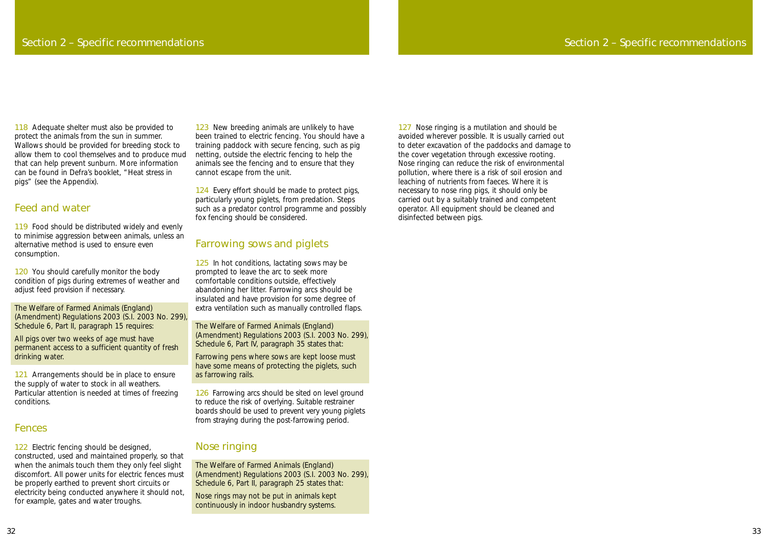127 Nose ringing is a mutilation and should be avoided wherever possible. It is usually carried out to deter excavation of the paddocks and damage to the cover vegetation through excessive rooting. Nose ringing can reduce the risk of environmental pollution, where there is a risk of soil erosion and leaching of nutrients from faeces. Where it is necessary to nose ring pigs, it should only be carried out by a suitably trained and competent operator. All equipment should be cleaned and disinfected between pigs.

118 Adequate shelter must also be provided to protect the animals from the sun in summer. Wallows should be provided for breeding stock to allow them to cool themselves and to produce mud that can help prevent sunburn. More information can be found in Defra's booklet, "Heat stress in pigs" (see the Appendix).

119 Food should be distributed widely and evenly to minimise aggression between animals, unless an alternative method is used to ensure even consumption.

### Section 2 – Specific recommendations

120 You should carefully monitor the body condition of pigs during extremes of weather and adjust feed provision if necessary.

121 Arrangements should be in place to ensure the supply of water to stock in all weathers. Particular attention is needed at times of freezing conditions.

#### Feed and water

122 Electric fencing should be designed, constructed, used and maintained properly, so that when the animals touch them they only feel slight discomfort. All power units for electric fences must be properly earthed to prevent short circuits or electricity being conducted anywhere it should not, for example, gates and water troughs.

123 New breeding animals are unlikely to have been trained to electric fencing. You should have a training paddock with secure fencing, such as pig netting, outside the electric fencing to help the animals see the fencing and to ensure that they cannot escape from the unit.

124 Every effort should be made to protect pigs, particularly young piglets, from predation. Steps such as a predator control programme and possibly fox fencing should be considered.

The Welfare of Farmed Animals (England) (Amendment) Regulations 2003 (S.I. 2003 No. 299), Schedule 6, Part II, paragraph 15 requires:

125 In hot conditions, lactating sows may be prompted to leave the arc to seek more comfortable conditions outside, effectively abandoning her litter. Farrowing arcs should be insulated and have provision for some degree of extra ventilation such as manually controlled flaps.

All pigs over two weeks of age must have permanent access to a sufficient quantity of fresh drinking water.

> 126 Farrowing arcs should be sited on level ground to reduce the risk of overlying. Suitable restrainer boards should be used to prevent very young piglets from straying during the post-farrowing period.

#### Fences

#### Farrowing sows and piglets

The Welfare of Farmed Animals (England) (Amendment) Regulations 2003 (S.I. 2003 No. 299), Schedule 6, Part IV, paragraph 35 states that:

Farrowing pens where sows are kept loose must have some means of protecting the piglets, such as farrowing rails.

### Nose ringing

The Welfare of Farmed Animals (England) (Amendment) Regulations 2003 (S.I. 2003 No. 299), Schedule 6, Part II, paragraph 25 states that:

Nose rings may not be put in animals kept continuously in indoor husbandry systems.